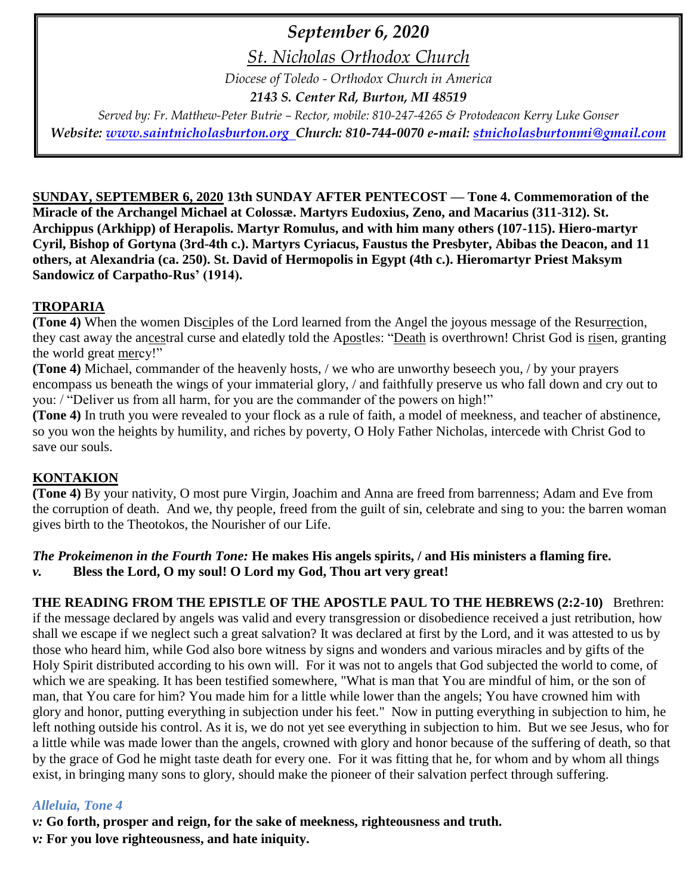## *September 6, 2020*

*St. Nicholas Orthodox Church*

*Diocese of Toledo - Orthodox Church in America*

*2143 S. Center Rd, Burton, MI 48519*

*Served by: Fr. Matthew-Peter Butrie – Rector, mobile: 810-247-4265 & Protodeacon Kerry Luke Gonser Website: [www.saintnicholasburton.org](http://www.saintnicholasburton.org/) Church: 810-744-0070 e-mail: [stnicholasburtonmi@gmail.com](mailto:stnicholasburtonmi@gmail.com)*

**SUNDAY, SEPTEMBER 6, 2020 13th SUNDAY AFTER PENTECOST — Tone 4. Commemoration of the Miracle of the Archangel Michael at Colossæ. Martyrs Eudoxius, Zeno, and Macarius (311-312). St. Archippus (Arkhipp) of Herapolis. Martyr Romulus, and with him many others (107-115). Hiero-martyr Cyril, Bishop of Gortyna (3rd-4th c.). Martyrs Cyriacus, Faustus the Presbyter, Abibas the Deacon, and 11 others, at Alexandria (ca. 250). St. David of Hermopolis in Egypt (4th c.). Hieromartyr Priest Maksym Sandowicz of Carpatho-Rus' (1914).**

### **TROPARIA**

**(Tone 4)** When the women Disciples of the Lord learned from the Angel the joyous message of the Resurrection, they cast away the ancestral curse and elatedly told the Apostles: "Death is overthrown! Christ God is risen, granting the world great mercy!"

**(Tone 4)** Michael, commander of the heavenly hosts, / we who are unworthy beseech you, / by your prayers encompass us beneath the wings of your immaterial glory, / and faithfully preserve us who fall down and cry out to you: / "Deliver us from all harm, for you are the commander of the powers on high!"

**(Tone 4)** In truth you were revealed to your flock as a rule of faith, a model of meekness, and teacher of abstinence, so you won the heights by humility, and riches by poverty, O Holy Father Nicholas, intercede with Christ God to save our souls.

## **KONTAKION**

**(Tone 4)** By your nativity, O most pure Virgin, Joachim and Anna are freed from barrenness; Adam and Eve from the corruption of death. And we, thy people, freed from the guilt of sin, celebrate and sing to you: the barren woman gives birth to the Theotokos, the Nourisher of our Life.

#### *The Prokeimenon in the Fourth Tone:* **He makes His angels spirits, / and His ministers a flaming fire.** *v.* **Bless the Lord, O my soul! O Lord my God, Thou art very great!**

**THE READING FROM THE EPISTLE OF THE APOSTLE PAUL TO THE HEBREWS (2:2-10)** Brethren: if the message declared by angels was valid and every transgression or disobedience received a just retribution, how shall we escape if we neglect such a great salvation? It was declared at first by the Lord, and it was attested to us by those who heard him, while God also bore witness by signs and wonders and various miracles and by gifts of the Holy Spirit distributed according to his own will. For it was not to angels that God subjected the world to come, of which we are speaking. It has been testified somewhere, "What is man that You are mindful of him, or the son of man, that You care for him? You made him for a little while lower than the angels; You have crowned him with glory and honor, putting everything in subjection under his feet." Now in putting everything in subjection to him, he left nothing outside his control. As it is, we do not yet see everything in subjection to him. But we see Jesus, who for a little while was made lower than the angels, crowned with glory and honor because of the suffering of death, so that by the grace of God he might taste death for every one. For it was fitting that he, for whom and by whom all things exist, in bringing many sons to glory, should make the pioneer of their salvation perfect through suffering.

### *Alleluia, Tone 4*

*v:* **Go forth, prosper and reign, for the sake of meekness, righteousness and truth.**

*v:* **For you love righteousness, and hate iniquity.**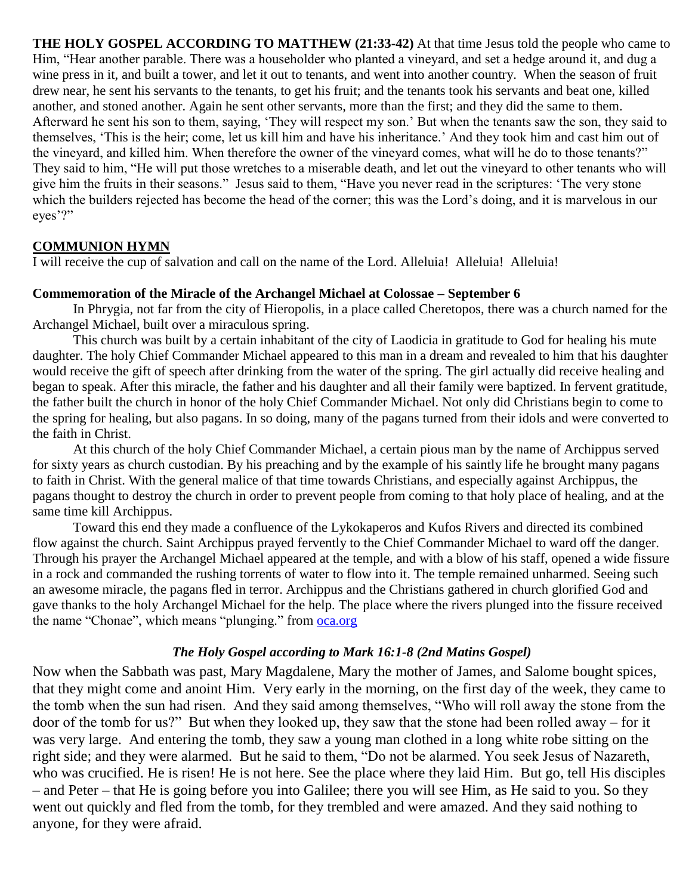**THE HOLY GOSPEL ACCORDING TO MATTHEW (21:33-42)** At that time Jesus told the people who came to Him, "Hear another parable. There was a householder who planted a vineyard, and set a hedge around it, and dug a wine press in it, and built a tower, and let it out to tenants, and went into another country. When the season of fruit drew near, he sent his servants to the tenants, to get his fruit; and the tenants took his servants and beat one, killed another, and stoned another. Again he sent other servants, more than the first; and they did the same to them. Afterward he sent his son to them, saying, 'They will respect my son.' But when the tenants saw the son, they said to themselves, 'This is the heir; come, let us kill him and have his inheritance.' And they took him and cast him out of the vineyard, and killed him. When therefore the owner of the vineyard comes, what will he do to those tenants?" They said to him, "He will put those wretches to a miserable death, and let out the vineyard to other tenants who will give him the fruits in their seasons." Jesus said to them, "Have you never read in the scriptures: 'The very stone which the builders rejected has become the head of the corner; this was the Lord's doing, and it is marvelous in our eyes'?"

#### **COMMUNION HYMN**

I will receive the cup of salvation and call on the name of the Lord. Alleluia! Alleluia! Alleluia!

#### **Commemoration of the Miracle of the Archangel Michael at Colossae – September 6**

In Phrygia, not far from the city of Hieropolis, in a place called Cheretopos, there was a church named for the Archangel Michael, built over a miraculous spring.

This church was built by a certain inhabitant of the city of Laodicia in gratitude to God for healing his mute daughter. The holy Chief Commander Michael appeared to this man in a dream and revealed to him that his daughter would receive the gift of speech after drinking from the water of the spring. The girl actually did receive healing and began to speak. After this miracle, the father and his daughter and all their family were baptized. In fervent gratitude, the father built the church in honor of the holy Chief Commander Michael. Not only did Christians begin to come to the spring for healing, but also pagans. In so doing, many of the pagans turned from their idols and were converted to the faith in Christ.

At this church of the holy Chief Commander Michael, a certain pious man by the name of Archippus served for sixty years as church custodian. By his preaching and by the example of his saintly life he brought many pagans to faith in Christ. With the general malice of that time towards Christians, and especially against Archippus, the pagans thought to destroy the church in order to prevent people from coming to that holy place of healing, and at the same time kill Archippus.

Toward this end they made a confluence of the Lykokaperos and Kufos Rivers and directed its combined flow against the church. Saint Archippus prayed fervently to the Chief Commander Michael to ward off the danger. Through his prayer the Archangel Michael appeared at the temple, and with a blow of his staff, opened a wide fissure in a rock and commanded the rushing torrents of water to flow into it. The temple remained unharmed. Seeing such an awesome miracle, the pagans fled in terror. Archippus and the Christians gathered in church glorified God and gave thanks to the holy Archangel Michael for the help. The place where the rivers plunged into the fissure received the name "Chonae", which means "plunging." from [oca.org](https://www.oca.org/saints/lives/2020/09/06/102517-commemoration-of-the-miracle-of-the-archangel-michael-at-colossa)

#### *The Holy Gospel according to Mark 16:1-8 (2nd Matins Gospel)*

Now when the Sabbath was past, Mary Magdalene, Mary the mother of James, and Salome bought spices, that they might come and anoint Him. Very early in the morning, on the first day of the week, they came to the tomb when the sun had risen. And they said among themselves, "Who will roll away the stone from the door of the tomb for us?" But when they looked up, they saw that the stone had been rolled away – for it was very large. And entering the tomb, they saw a young man clothed in a long white robe sitting on the right side; and they were alarmed. But he said to them, "Do not be alarmed. You seek Jesus of Nazareth, who was crucified. He is risen! He is not here. See the place where they laid Him. But go, tell His disciples – and Peter – that He is going before you into Galilee; there you will see Him, as He said to you. So they went out quickly and fled from the tomb, for they trembled and were amazed. And they said nothing to anyone, for they were afraid.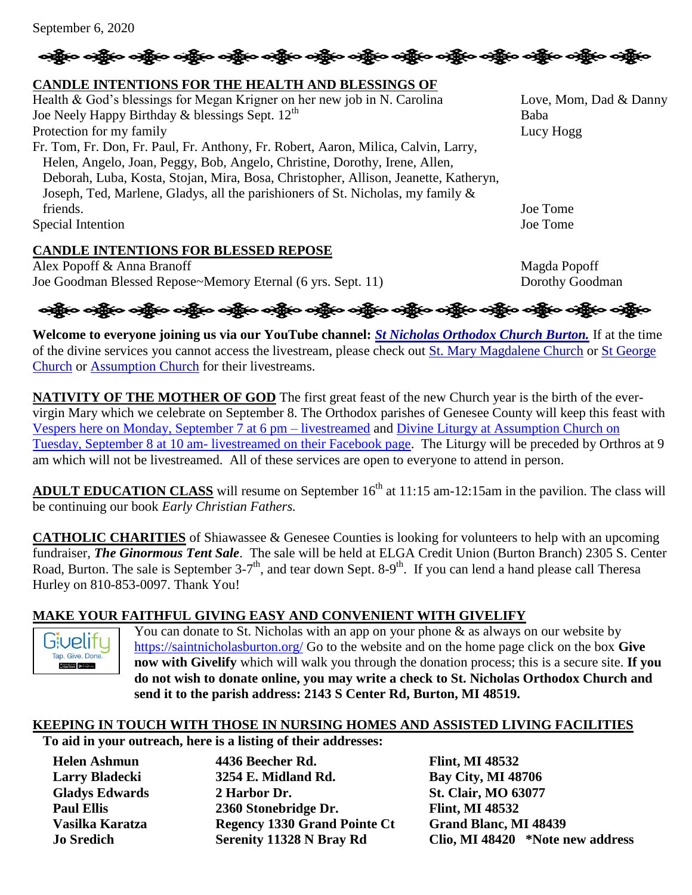# းရွို့မှာ မရွိမှာ မရွိမှာ မရွိမှာ မရွိမှာ မရွိမှာ မရွိမှာ မရွိမှာ မရွိမှ မရွိမှ ရွေးကြီး ရရွိမှ မရွိမ

#### **CANDLE INTENTIONS FOR THE HEALTH AND BLESSINGS OF**

Health & God's blessings for Megan Krigner on her new job in N. Carolina Love, Mom, Dad & Danny Joe Neely Happy Birthday  $\&$  blessings Sept.  $12^{th}$  Baba Protection for my family Lucy Hogg Fr. Tom, Fr. Don, Fr. Paul, Fr. Anthony, Fr. Robert, Aaron, Milica, Calvin, Larry, Helen, Angelo, Joan, Peggy, Bob, Angelo, Christine, Dorothy, Irene, Allen, Deborah, Luba, Kosta, Stojan, Mira, Bosa, Christopher, Allison, Jeanette, Katheryn, Joseph, Ted, Marlene, Gladys, all the parishioners of St. Nicholas, my family & friends. Joe Tome Special Intention Joe Tome

#### **CANDLE INTENTIONS FOR BLESSED REPOSE**

Alex Popoff & Anna Branoff Magda Popoff Magda Popoff Joe Goodman Blessed Repose~Memory Eternal (6 yrs. Sept. 11) Dorothy Goodman

# ခရွိက ခရွိက ခရွိက ခရွိက အိုင်း အိုင်း ခရွိက ခရွိက ခရွိက ခရွိက ခရွိက ခရွိက ခရွိက ခရွိက ခရွိက ခရွိက

**Welcome to everyone joining us via our YouTube channel:** *[St Nicholas Orthodox Church Burton.](https://www.youtube.com/channel/UC59tV-Re443z-GCoETAUvfA)* If at the time of the divine services you cannot access the livestream, please check out [St. Mary Magdalene Church](https://www.youtube.com/channel/UClHAqZrWkXdYELujbbIslHg) or [St George](https://www.youtube.com/channel/UCpLWfxMIJK4uQOV41ekE6Wg/videos?view=2&flow=grid)  [Church](https://www.youtube.com/channel/UCpLWfxMIJK4uQOV41ekE6Wg/videos?view=2&flow=grid) or [Assumption Church](https://www.facebook.com/AssumptionGrandBlanc/) for their livestreams.

**NATIVITY OF THE MOTHER OF GOD** The first great feast of the new Church year is the birth of the evervirgin Mary which we celebrate on September 8. The Orthodox parishes of Genesee County will keep this feast with [Vespers here on Monday, September 7 at 6 pm –](https://www.youtube.com/watch?v=IsiQsILQTys) livestreamed and [Divine Liturgy at Assumption Church on](https://www.facebook.com/AssumptionGrandBlanc/)  Tuesday, September 8 at 10 am- [livestreamed on their Facebook page.](https://www.facebook.com/AssumptionGrandBlanc/) The Liturgy will be preceded by Orthros at 9 am which will not be livestreamed. All of these services are open to everyone to attend in person.

**ADULT EDUCATION CLASS** will resume on September  $16<sup>th</sup>$  at  $11:15$  am-12:15am in the pavilion. The class will be continuing our book *Early Christian Fathers.*

**CATHOLIC CHARITIES** of Shiawassee & Genesee Counties is looking for volunteers to help with an upcoming fundraiser, *The Ginormous Tent Sale*. The sale will be held at ELGA Credit Union (Burton Branch) 2305 S. Center Road, Burton. The sale is September 3-7<sup>th</sup>, and tear down Sept. 8-9<sup>th</sup>. If you can lend a hand please call Theresa Hurley on 810-853-0097. Thank You!

### **MAKE YOUR FAITHFUL GIVING EASY AND CONVENIENT WITH GIVELIFY**



You can donate to St. Nicholas with an app on your phone  $\&$  as always on our website by <https://saintnicholasburton.org/> Go to the website and on the home page click on the box **Give now with Givelify** which will walk you through the donation process; this is a secure site. **If you do not wish to donate online, you may write a check to St. Nicholas Orthodox Church and send it to the parish address: 2143 S Center Rd, Burton, MI 48519.**

#### **KEEPING IN TOUCH WITH THOSE IN NURSING HOMES AND ASSISTED LIVING FACILITIES**

**To aid in your outreach, here is a listing of their addresses:**

**Helen Ashmun 4436 Beecher Rd. Flint, MI 48532 Larry Bladecki 3254 E. Midland Rd. Bay City, MI 48706 Gladys Edwards 2 Harbor Dr. St. Clair, MO 63077 Paul Ellis 2360 Stonebridge Dr. Flint, MI 48532 Vasilka Karatza Regency 1330 Grand Pointe Ct Grand Blanc, MI 48439**

**Jo Sredich Serenity 11328 N Bray Rd Clio, MI 48420 \*Note new address**